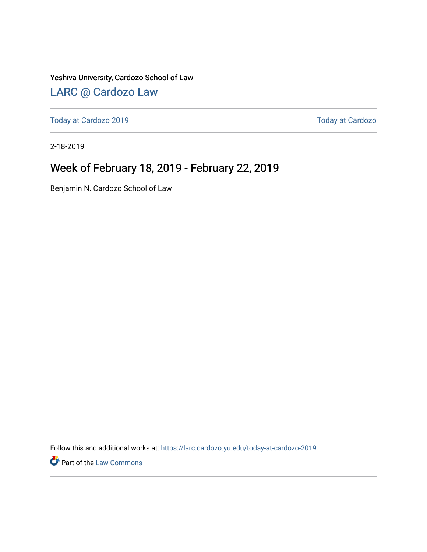Yeshiva University, Cardozo School of Law

### [LARC @ Cardozo Law](https://larc.cardozo.yu.edu/)

[Today at Cardozo 2019](https://larc.cardozo.yu.edu/today-at-cardozo-2019) **Today at Cardozo** 2019

2-18-2019

### Week of February 18, 2019 - February 22, 2019

Benjamin N. Cardozo School of Law

Follow this and additional works at: [https://larc.cardozo.yu.edu/today-at-cardozo-2019](https://larc.cardozo.yu.edu/today-at-cardozo-2019?utm_source=larc.cardozo.yu.edu%2Ftoday-at-cardozo-2019%2F24&utm_medium=PDF&utm_campaign=PDFCoverPages)

**P** Part of the [Law Commons](http://network.bepress.com/hgg/discipline/578?utm_source=larc.cardozo.yu.edu%2Ftoday-at-cardozo-2019%2F24&utm_medium=PDF&utm_campaign=PDFCoverPages)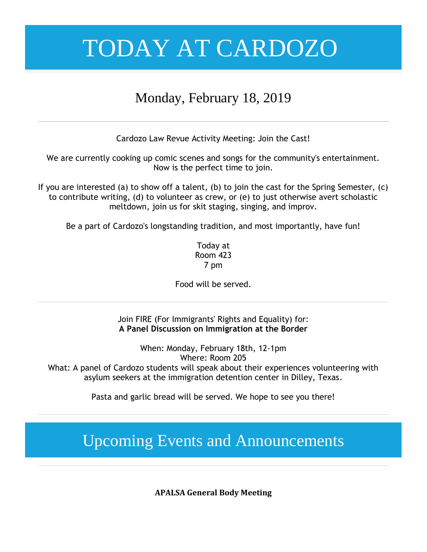### Monday, February 18, 2019

Cardozo Law Revue Activity Meeting: Join the Cast!

We are currently cooking up comic scenes and songs for the community's entertainment. Now is the perfect time to join.

If you are interested (a) to show off a talent, (b) to join the cast for the Spring Semester, (c) to contribute writing, (d) to volunteer as crew, or (e) to just otherwise avert scholastic meltdown, join us for skit staging, singing, and improv.

Be a part of Cardozo's longstanding tradition, and most importantly, have fun!

Today at Room 423 7 pm

Food will be served.

Join FIRE (For Immigrants' Rights and Equality) for: **A Panel Discussion on Immigration at the Border**

When: Monday, February 18th, 12-1pm Where: Room 205 What: A panel of Cardozo students will speak about their experiences volunteering with asylum seekers at the immigration detention center in Dilley, Texas.

Pasta and garlic bread will be served. We hope to see you there!

## Upcoming Events and Announcements

**APALSA General Body Meeting**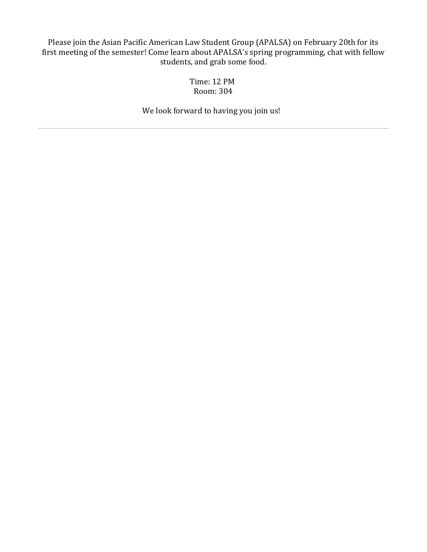Please join the Asian Pacific American Law Student Group (APALSA) on February 20th for its first meeting of the semester! Come learn about APALSA's spring programming, chat with fellow students, and grab some food.

> Time: 12 PM Room: 304

We look forward to having you join us!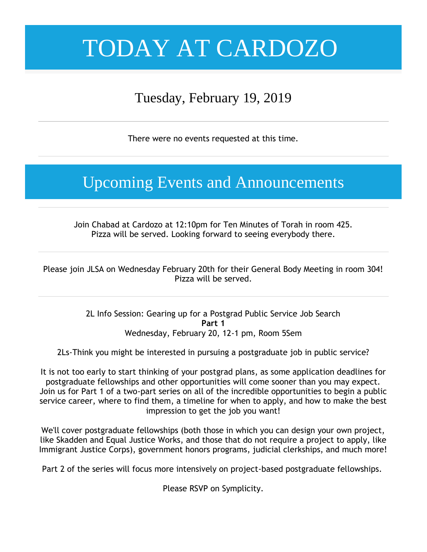## Tuesday, February 19, 2019

There were no events requested at this time.

## Upcoming Events and Announcements

Join Chabad at Cardozo at 12:10pm for Ten Minutes of Torah in room 425. Pizza will be served. Looking forward to seeing everybody there.

Please join JLSA on Wednesday February 20th for their General Body Meeting in room 304! Pizza will be served.

> 2L Info Session: Gearing up for a Postgrad Public Service Job Search **Part 1** Wednesday, February 20, 12-1 pm, Room 5Sem

2Ls-Think you might be interested in pursuing a postgraduate job in public service?

It is not too early to start thinking of your postgrad plans, as some application deadlines for postgraduate fellowships and other opportunities will come sooner than you may expect. Join us for Part 1 of a two-part series on all of the incredible opportunities to begin a public service career, where to find them, a timeline for when to apply, and how to make the best impression to get the job you want!

We'll cover postgraduate fellowships (both those in which you can design your own project, like Skadden and Equal Justice Works, and those that do not require a project to apply, like Immigrant Justice Corps), government honors programs, judicial clerkships, and much more!

Part 2 of the series will focus more intensively on project-based postgraduate fellowships.

Please RSVP on Symplicity.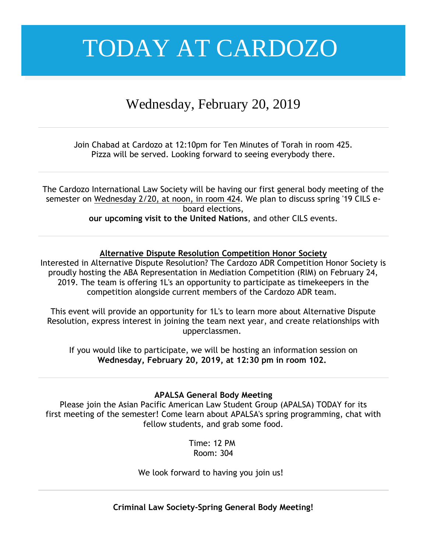### Wednesday, February 20, 2019

Join Chabad at Cardozo at 12:10pm for Ten Minutes of Torah in room 425. Pizza will be served. Looking forward to seeing everybody there.

The Cardozo International Law Society will be having our first general body meeting of the semester on Wednesday 2/20, at noon, in room 424. We plan to discuss spring '19 CILS eboard elections, **our upcoming visit to the United Nations**, and other CILS events.

### **Alternative Dispute Resolution Competition Honor Society**

Interested in Alternative Dispute Resolution? The Cardozo ADR Competition Honor Society is proudly hosting the ABA Representation in Mediation Competition (RIM) on February 24, 2019. The team is offering 1L's an opportunity to participate as timekeepers in the competition alongside current members of the Cardozo ADR team.

This event will provide an opportunity for 1L's to learn more about Alternative Dispute Resolution, express interest in joining the team next year, and create relationships with upperclassmen.

If you would like to participate, we will be hosting an information session on **Wednesday, February 20, 2019, at 12:30 pm in room 102.**

### **APALSA General Body Meeting**

Please join the Asian Pacific American Law Student Group (APALSA) TODAY for its first meeting of the semester! Come learn about APALSA's spring programming, chat with fellow students, and grab some food.

> Time: 12 PM Room: 304

We look forward to having you join us!

**Criminal Law Society-Spring General Body Meeting!**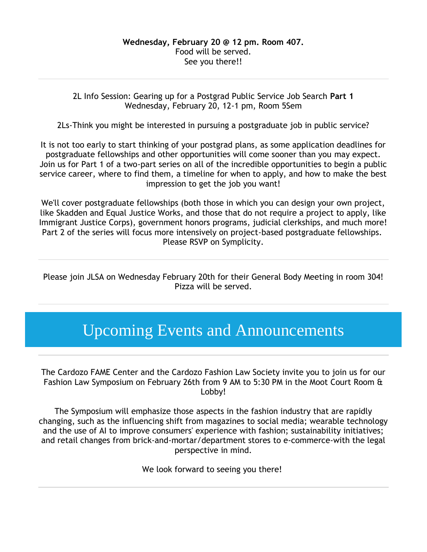2L Info Session: Gearing up for a Postgrad Public Service Job Search **Part 1** Wednesday, February 20, 12-1 pm, Room 5Sem

2Ls-Think you might be interested in pursuing a postgraduate job in public service?

It is not too early to start thinking of your postgrad plans, as some application deadlines for postgraduate fellowships and other opportunities will come sooner than you may expect. Join us for Part 1 of a two-part series on all of the incredible opportunities to begin a public service career, where to find them, a timeline for when to apply, and how to make the best impression to get the job you want!

We'll cover postgraduate fellowships (both those in which you can design your own project, like Skadden and Equal Justice Works, and those that do not require a project to apply, like Immigrant Justice Corps), government honors programs, judicial clerkships, and much more! Part 2 of the series will focus more intensively on project-based postgraduate fellowships. Please RSVP on Symplicity.

Please join JLSA on Wednesday February 20th for their General Body Meeting in room 304! Pizza will be served.

## Upcoming Events and Announcements

The Cardozo FAME Center and the Cardozo Fashion Law Society invite you to join us for our Fashion Law Symposium on February 26th from 9 AM to 5:30 PM in the Moot Court Room & Lobby!

The Symposium will emphasize those aspects in the fashion industry that are rapidly changing, such as the influencing shift from magazines to social media; wearable technology and the use of AI to improve consumers' experience with fashion; sustainability initiatives; and retail changes from brick-and-mortar/department stores to e-commerce-with the legal perspective in mind.

We look forward to seeing you there!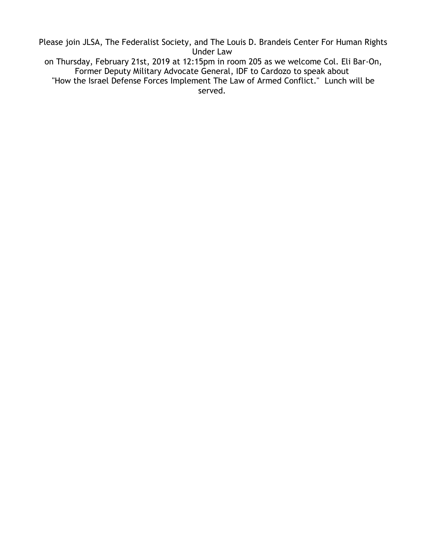Please join JLSA, The Federalist Society, and The Louis D. Brandeis Center For Human Rights Under Law

on Thursday, February 21st, 2019 at 12:15pm in room 205 as we welcome Col. Eli Bar-On, Former Deputy Military Advocate General, IDF to Cardozo to speak about "How the Israel Defense Forces Implement The Law of Armed Conflict." Lunch will be served.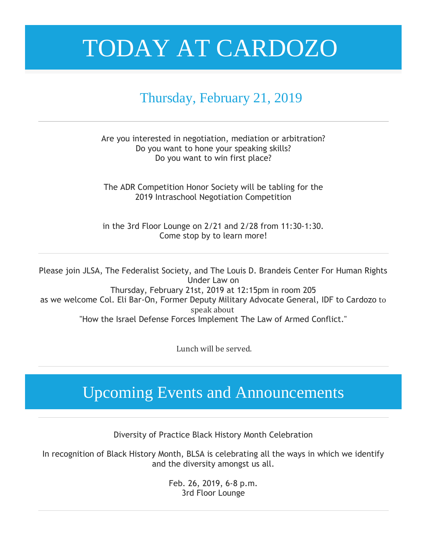### Thursday, February 21, 2019

### Are you interested in negotiation, mediation or arbitration? Do you want to hone your speaking skills? Do you want to win first place?

The ADR Competition Honor Society will be tabling for the 2019 Intraschool Negotiation Competition

in the 3rd Floor Lounge on 2/21 and 2/28 from 11:30-1:30. Come stop by to learn more!

Please join JLSA, The Federalist Society, and The Louis D. Brandeis Center For Human Rights Under Law on Thursday, February 21st, 2019 at 12:15pm in room 205 as we welcome Col. Eli Bar-On, Former Deputy Military Advocate General, IDF to Cardozo to speak about "How the Israel Defense Forces Implement The Law of Armed Conflict."

Lunch will be served.

## Upcoming Events and Announcements

Diversity of Practice Black History Month Celebration

In recognition of Black History Month, BLSA is celebrating all the ways in which we identify and the diversity amongst us all.

> Feb. 26, 2019, 6-8 p.m. 3rd Floor Lounge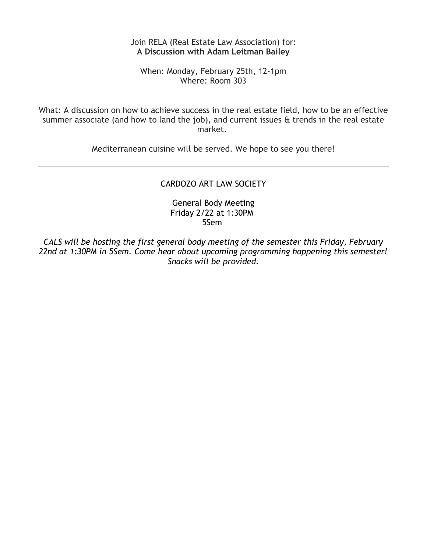### Join RELA (Real Estate Law Association) for: **A Discussion with Adam Leitman Bailey**

When: Monday, February 25th, 12-1pm Where: Room 303

What: A discussion on how to achieve success in the real estate field, how to be an effective summer associate (and how to land the job), and current issues & trends in the real estate market.

Mediterranean cuisine will be served. We hope to see you there!

### CARDOZO ART LAW SOCIETY

General Body Meeting Friday 2/22 at 1:30PM 5Sem

*CALS will be hosting the first general body meeting of the semester this Friday, February 22nd at 1:30PM in 5Sem. Come hear about upcoming programming happening this semester! Snacks will be provided.*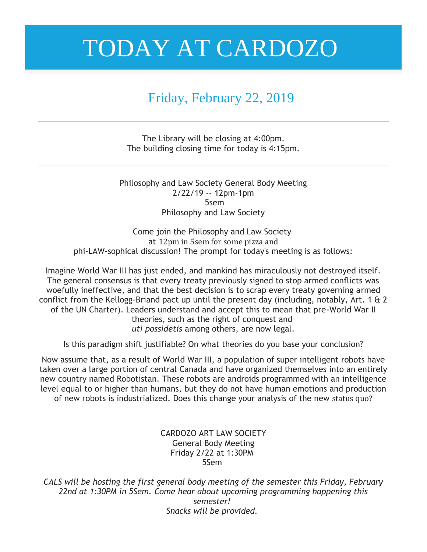## Friday, February 22, 2019

The Library will be closing at 4:00pm. The building closing time for today is 4:15pm.

Philosophy and Law Society General Body Meeting 2/22/19 -- 12pm-1pm 5sem Philosophy and Law Society

Come join the Philosophy and Law Society at 12pm in 5sem for some pizza and phi-LAW-sophical discussion! The prompt for today's meeting is as follows:

Imagine World War III has just ended, and mankind has miraculously not destroyed itself. The general consensus is that every treaty previously signed to stop armed conflicts was woefully ineffective, and that the best decision is to scrap every treaty governing armed conflict from the Kellogg-Briand pact up until the present day (including, notably, Art. 1 & 2 of the UN Charter). Leaders understand and accept this to mean that pre-World War II theories, such as the right of conquest and *uti possidetis* among others, are now legal.

Is this paradigm shift justifiable? On what theories do you base your conclusion?

Now assume that, as a result of World War III, a population of super intelligent robots have taken over a large portion of central Canada and have organized themselves into an entirely new country named Robotistan. These robots are androids programmed with an intelligence level equal to or higher than humans, but they do not have human emotions and production of new robots is industrialized. Does this change your analysis of the new status quo?

### CARDOZO ART LAW SOCIETY General Body Meeting Friday 2/22 at 1:30PM 5Sem

*CALS will be hosting the first general body meeting of the semester this Friday, February 22nd at 1:30PM in 5Sem. Come hear about upcoming programming happening this semester! Snacks will be provided.*